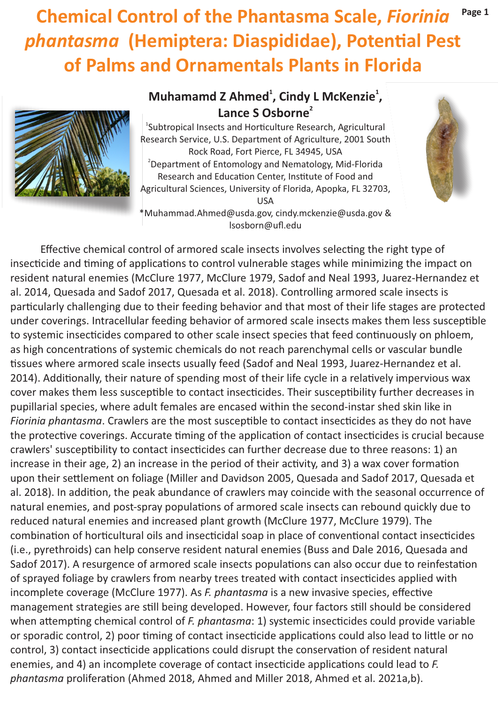# **Chemical Control of the Phantasma Scale,** *Fiorinia*  **phantasma** (Hemiptera: Diaspididae), Potential Pest **of Palms and Ornamentals Plants in Florida Page 1**



## **<sup>1</sup> <sup>1</sup> Muhamamd Z Ahmed , Cindy L McKenzie , 2 Lance S Osborne**

<sup>1</sup>Subtropical Insects and Horticulture Research, Agricultural Research Service, U.S. Department of Agriculture, 2001 South Rock Road, Fort Pierce, FL 34945, USA 2 Department of Entomology and Nematology, Mid-Florida Research and Education Center, Institute of Food and Agricultural Sciences, University of Florida, Apopka, FL 32703, USA



\*Muhammad.Ahmed@usda.gov, cindy.mckenzie@usda.gov & lsosborn@ufl.edu

Effective chemical control of armored scale insects involves selecting the right type of insecticide and timing of applications to control vulnerable stages while minimizing the impact on resident natural enemies (McClure 1977, McClure 1979, Sadof and Neal 1993, Juarez-Hernandez et al. 2014, Quesada and Sadof 2017, Quesada et al. 2018). Controlling armored scale insects is particularly challenging due to their feeding behavior and that most of their life stages are protected under coverings. Intracellular feeding behavior of armored scale insects makes them less susceptible to systemic insecticides compared to other scale insect species that feed continuously on phloem, as high concentrations of systemic chemicals do not reach parenchymal cells or vascular bundle tissues where armored scale insects usually feed (Sadof and Neal 1993, Juarez-Hernandez et al. 2014). Additionally, their nature of spending most of their life cycle in a relatively impervious wax cover makes them less susceptible to contact insecticides. Their susceptibility further decreases in pupillarial species, where adult females are encased within the second-instar shed skin like in *Fiorinia phantasma*. Crawlers are the most susceptible to contact insecticides as they do not have the protective coverings. Accurate timing of the application of contact insecticides is crucial because crawlers' susceptibility to contact insecticides can further decrease due to three reasons: 1) an increase in their age, 2) an increase in the period of their activity, and 3) a wax cover formation upon their settlement on foliage (Miller and Davidson 2005, Quesada and Sadof 2017, Quesada et al. 2018). In addition, the peak abundance of crawlers may coincide with the seasonal occurrence of natural enemies, and post-spray populations of armored scale insects can rebound quickly due to reduced natural enemies and increased plant growth (McClure 1977, McClure 1979). The combination of horticultural oils and insecticidal soap in place of conventional contact insecticides (i.e., pyrethroids) can help conserve resident natural enemies (Buss and Dale 2016, Quesada and Sadof 2017). A resurgence of armored scale insects populations can also occur due to reinfestation of sprayed foliage by crawlers from nearby trees treated with contact inseccides applied with incomplete coverage (McClure 1977). As *F. phantasma* is a new invasive species, effective management strategies are still being developed. However, four factors still should be considered when attempting chemical control of *F. phantasma*: 1) systemic insecticides could provide variable or sporadic control, 2) poor timing of contact insecticide applications could also lead to little or no control, 3) contact insecticide applications could disrupt the conservation of resident natural enemies, and 4) an incomplete coverage of contact insecticide applications could lead to *F*. *phantasma* proliferation (Ahmed 2018, Ahmed and Miller 2018, Ahmed et al. 2021a,b).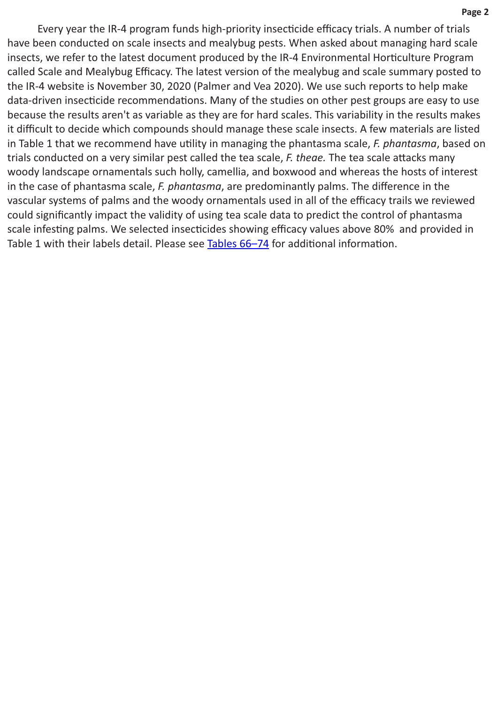**Page 2**

Every year the IR-4 program funds high-priority insecticide efficacy trials. A number of trials have been conducted on scale insects and mealybug pests. When asked about managing hard scale insects, we refer to the latest document produced by the IR-4 Environmental Horticulture Program called Scale and Mealybug Efficacy. The latest version of the mealybug and scale summary posted to the IR-4 website is November 30, 2020 (Palmer and Vea 2020). We use such reports to help make data-driven insecticide recommendations. Many of the studies on other pest groups are easy to use because the results aren't as variable as they are for hard scales. This variability in the results makes it difficult to decide which compounds should manage these scale insects. A few materials are listed in Table 1 that we recommend have utility in managing the phantasma scale, *F. phantasma*, based on trials conducted on a very similar pest called the tea scale, F. theae. The tea scale attacks many woody landscape ornamentals such holly, camellia, and boxwood and whereas the hosts of interest in the case of phantasma scale, *F. phantasma*, are predominantly palms. The difference in the vascular systems of palms and the woody ornamentals used in all of the efficacy trails we reviewed could significantly impact the validity of using tea scale data to predict the control of phantasma scale infesting palms. We selected insecticides showing efficacy values above 80% and provided in Table 1 with their labels detail. Please see Tables 66-74 for additional information.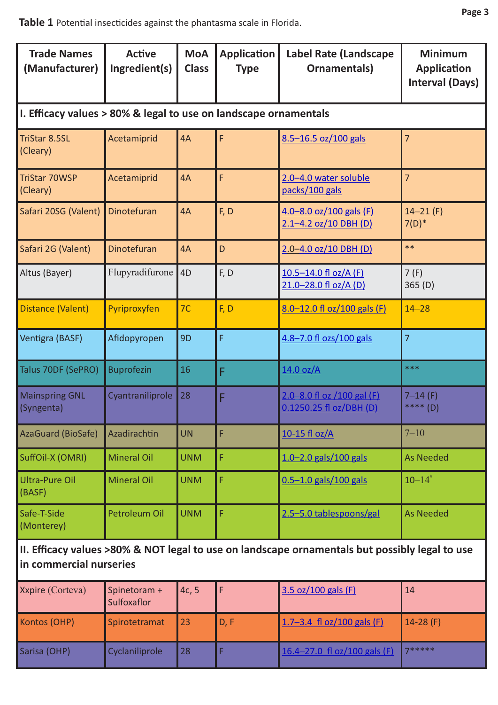### Table 1 Potential insecticides against the phantasma scale in Florida.

| <b>Trade Names</b><br>(Manufacturer)                                                                                      | <b>Active</b><br>Ingredient(s) | <b>MoA</b><br><b>Class</b> | <b>Application</b><br><b>Type</b> | <b>Label Rate (Landscape</b><br>Ornamentals)              | <b>Minimum</b><br><b>Application</b><br><b>Interval (Days)</b> |  |  |  |
|---------------------------------------------------------------------------------------------------------------------------|--------------------------------|----------------------------|-----------------------------------|-----------------------------------------------------------|----------------------------------------------------------------|--|--|--|
| I. Efficacy values > 80% & legal to use on landscape ornamentals                                                          |                                |                            |                                   |                                                           |                                                                |  |  |  |
| <b>TriStar 8.5SL</b><br>(Cleary)                                                                                          | Acetamiprid                    | 4A                         | F                                 | 8.5-16.5 oz/100 gals                                      | 7                                                              |  |  |  |
| <b>TriStar 70WSP</b><br>(Cleary)                                                                                          | Acetamiprid                    | 4A                         | F                                 | 2.0-4.0 water soluble<br>packs/100 gals                   | $\overline{7}$                                                 |  |  |  |
| Safari 20SG (Valent)                                                                                                      | Dinotefuran                    | 4A                         | F, D                              | $4.0 - 8.0$ oz/100 gals (F)<br>$2.1 - 4.2$ oz/10 DBH (D)  | $14 - 21$ (F)<br>$7(D)^*$                                      |  |  |  |
| Safari 2G (Valent)                                                                                                        | <b>Dinotefuran</b>             | 4A                         | D                                 | $2.0 - 4.0$ oz/10 DBH (D)                                 | $**$                                                           |  |  |  |
| Altus (Bayer)                                                                                                             | Flupyradifurone                | 4 <sub>D</sub>             | F, D                              | <u>10.5–14.0 fl oz/A (F)</u><br>21.0-28.0 fl oz/A (D)     | 7(F)<br>365 (D)                                                |  |  |  |
| Distance (Valent)                                                                                                         | Pyriproxyfen                   | 7 <sup>C</sup>             | F, D                              | $8.0 - 12.0$ fl oz/100 gals (F)                           | $14 - 28$                                                      |  |  |  |
| Ventigra (BASF)                                                                                                           | Afidopyropen                   | 9 <sub>D</sub>             | F                                 | 4.8-7.0 fl ozs/100 gals                                   | $\overline{7}$                                                 |  |  |  |
| Talus 70DF (SePRO)                                                                                                        | <b>Buprofezin</b>              | 16                         | F                                 | 14.0 oz/A                                                 | ***                                                            |  |  |  |
| <b>Mainspring GNL</b><br>(Syngenta)                                                                                       | Cyantraniliprole               | 28                         | F                                 | $2.0 - 8.0$ fl oz /100 gal (F)<br>0.1250.25 fl oz/DBH (D) | $7 - 14$ (F)<br>**** (D)                                       |  |  |  |
| <b>AzaGuard (BioSafe)</b>                                                                                                 | Azadirachtin                   | <b>UN</b>                  | F                                 | 10-15 fl oz/A                                             | $7 - 10$                                                       |  |  |  |
| SuffOil-X (OMRI)                                                                                                          | <b>Mineral Oil</b>             | <b>UNM</b>                 | F                                 | $1.0 - 2.0$ gals/100 gals                                 | <b>As Needed</b>                                               |  |  |  |
| <b>Ultra-Pure Oil</b><br>(BASF)                                                                                           | <b>Mineral Oil</b>             | <b>UNM</b>                 | F                                 | $0.5 - 1.0$ gals/100 gals                                 | $10 - 14$ <sup>#</sup>                                         |  |  |  |
| Safe-T-Side<br>(Monterey)                                                                                                 | Petroleum Oil                  | <b>UNM</b>                 | F                                 | 2.5-5.0 tablespoons/gal                                   | <b>As Needed</b>                                               |  |  |  |
| II. Efficacy values >80% & NOT legal to use on landscape ornamentals but possibly legal to use<br>in commercial nurseries |                                |                            |                                   |                                                           |                                                                |  |  |  |
| Xxpire (Corteva)                                                                                                          | Spinetoram +<br>Sulfoxaflor    | 4c, 5                      | F                                 | 3.5 oz/100 gals (F)                                       | 14                                                             |  |  |  |

|              | i Sulfoxafior  |    |      |                                                |             |
|--------------|----------------|----|------|------------------------------------------------|-------------|
| Kontos (OHP) | Spirotetramat  | 23 | D, F | $1.7 - 3.4 \text{ fl oz}/100 \text{ gals (F)}$ | $14-28$ (F) |
| Sarisa (OHP) | Cyclaniliprole | 28 |      | 16.4–27.0 fl oz/100 gals (F)                   | 7*****      |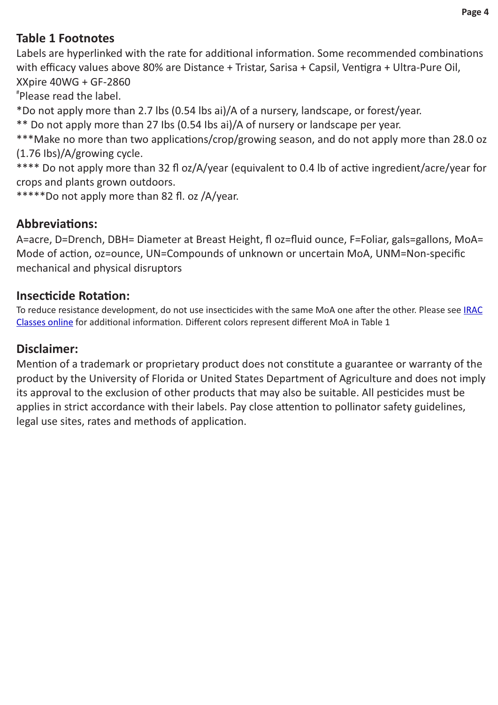### **Table 1 Footnotes**

Labels are hyperlinked with the rate for additional information. Some recommended combinations with efficacy values above 80% are Distance + Tristar, Sarisa + Capsil, Ventigra + Ultra-Pure Oil, XXpire 40WG + GF-2860

# Please read the label.

\*Do not apply more than 2.7 lbs (0.54 lbs ai)/A of a nursery, landscape, or forest/year.

\*\* Do not apply more than 27 Ibs (0.54 Ibs ai)/A of nursery or landscape per year.

\*\*\*Make no more than two applications/crop/growing season, and do not apply more than 28.0 oz (1.76 Ibs)/A/growing cycle.

\*\*\*\* Do not apply more than 32 fl oz/A/year (equivalent to 0.4 lb of active ingredient/acre/year for crops and plants grown outdoors.

\*\*\*\*\*Do not apply more than 82 fl. oz /A/year.

### **Abbreviations:**

A=acre, D=Drench, DBH= Diameter at Breast Height, fl oz=fluid ounce, F=Foliar, gals=gallons, MoA= Mode of action, oz=ounce, UN=Compounds of unknown or uncertain MoA, UNM=Non-specific mechanical and physical disruptors

#### **Insecticide Rotation:**

To reduce resistance development, do not use insecticides with the same MoA one after the other. Please see IRAC [Classes online](https://irac-online.org/mode-of-action/) for additional information. Different colors represent different MoA in Table 1

### **Disclaimer:**

Mention of a trademark or proprietary product does not constitute a guarantee or warranty of the product by the University of Florida or United States Department of Agriculture and does not imply its approval to the exclusion of other products that may also be suitable. All pesticides must be applies in strict accordance with their labels. Pay close attention to pollinator safety guidelines, legal use sites, rates and methods of application.